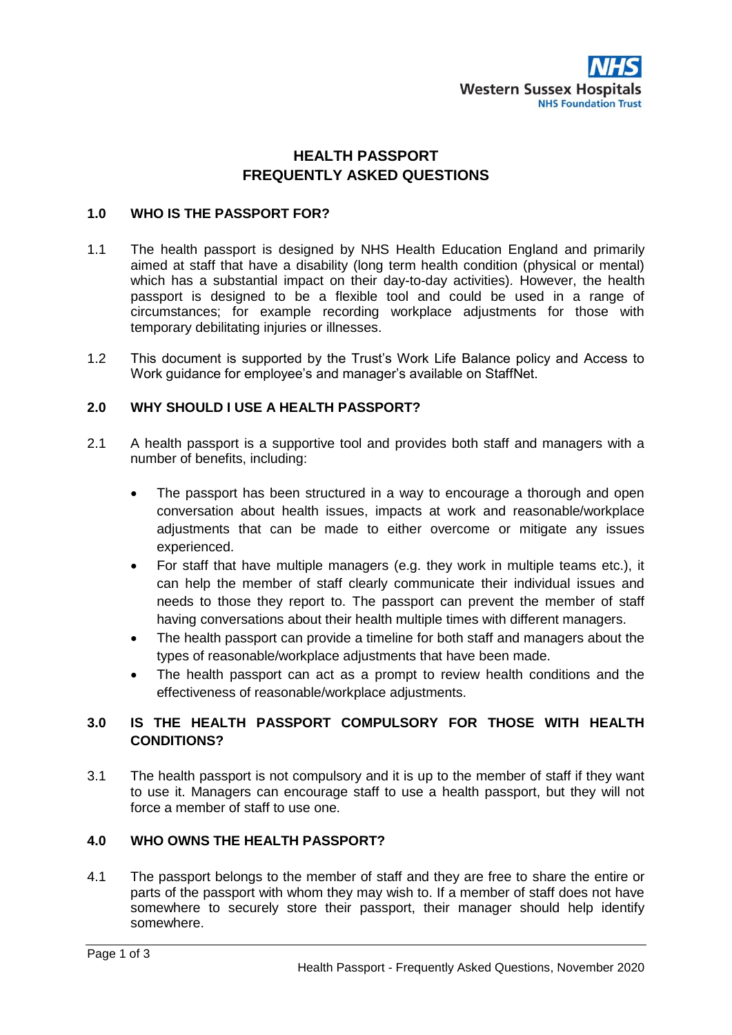

# **HEALTH PASSPORT FREQUENTLY ASKED QUESTIONS**

#### **1.0 WHO IS THE PASSPORT FOR?**

- 1.1 The health passport is designed by NHS Health Education England and primarily aimed at staff that have a disability (long term health condition (physical or mental) which has a substantial impact on their day-to-day activities). However, the health passport is designed to be a flexible tool and could be used in a range of circumstances; for example recording workplace adjustments for those with temporary debilitating injuries or illnesses.
- 1.2 This document is supported by the Trust's Work Life Balance policy and Access to Work guidance for employee's and manager's available on StaffNet.

#### **2.0 WHY SHOULD I USE A HEALTH PASSPORT?**

- 2.1 A health passport is a supportive tool and provides both staff and managers with a number of benefits, including:
	- The passport has been structured in a way to encourage a thorough and open conversation about health issues, impacts at work and reasonable/workplace adjustments that can be made to either overcome or mitigate any issues experienced.
	- For staff that have multiple managers (e.g. they work in multiple teams etc.), it can help the member of staff clearly communicate their individual issues and needs to those they report to. The passport can prevent the member of staff having conversations about their health multiple times with different managers.
	- The health passport can provide a timeline for both staff and managers about the types of reasonable/workplace adjustments that have been made.
	- The health passport can act as a prompt to review health conditions and the effectiveness of reasonable/workplace adjustments.

## **3.0 IS THE HEALTH PASSPORT COMPULSORY FOR THOSE WITH HEALTH CONDITIONS?**

3.1 The health passport is not compulsory and it is up to the member of staff if they want to use it. Managers can encourage staff to use a health passport, but they will not force a member of staff to use one.

## **4.0 WHO OWNS THE HEALTH PASSPORT?**

4.1 The passport belongs to the member of staff and they are free to share the entire or parts of the passport with whom they may wish to. If a member of staff does not have somewhere to securely store their passport, their manager should help identify somewhere.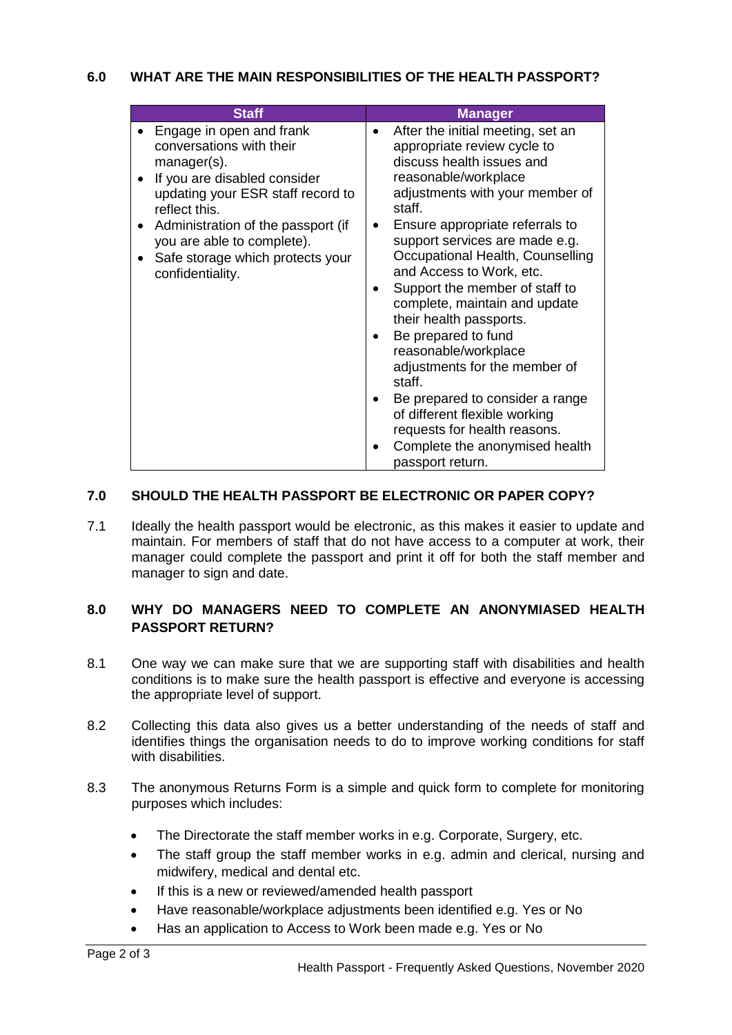| <b>Staff</b>                                                                                                                                                                                                                                                                          | <b>Manager</b>                                                                                                                                                                                                                                                                                                                                                                                                                                                                                                                                                                                                                                            |
|---------------------------------------------------------------------------------------------------------------------------------------------------------------------------------------------------------------------------------------------------------------------------------------|-----------------------------------------------------------------------------------------------------------------------------------------------------------------------------------------------------------------------------------------------------------------------------------------------------------------------------------------------------------------------------------------------------------------------------------------------------------------------------------------------------------------------------------------------------------------------------------------------------------------------------------------------------------|
| Engage in open and frank<br>conversations with their<br>manager(s).<br>If you are disabled consider<br>updating your ESR staff record to<br>reflect this.<br>Administration of the passport (if<br>you are able to complete).<br>Safe storage which protects your<br>confidentiality. | After the initial meeting, set an<br>appropriate review cycle to<br>discuss health issues and<br>reasonable/workplace<br>adjustments with your member of<br>staff.<br>Ensure appropriate referrals to<br>support services are made e.g.<br>Occupational Health, Counselling<br>and Access to Work, etc.<br>Support the member of staff to<br>complete, maintain and update<br>their health passports.<br>Be prepared to fund<br>reasonable/workplace<br>adjustments for the member of<br>staff.<br>Be prepared to consider a range<br>of different flexible working<br>requests for health reasons.<br>Complete the anonymised health<br>passport return. |

## **7.0 SHOULD THE HEALTH PASSPORT BE ELECTRONIC OR PAPER COPY?**

7.1 Ideally the health passport would be electronic, as this makes it easier to update and maintain. For members of staff that do not have access to a computer at work, their manager could complete the passport and print it off for both the staff member and manager to sign and date.

## **8.0 WHY DO MANAGERS NEED TO COMPLETE AN ANONYMIASED HEALTH PASSPORT RETURN?**

- 8.1 One way we can make sure that we are supporting staff with disabilities and health conditions is to make sure the health passport is effective and everyone is accessing the appropriate level of support.
- 8.2 Collecting this data also gives us a better understanding of the needs of staff and identifies things the organisation needs to do to improve working conditions for staff with disabilities.
- 8.3 The anonymous Returns Form is a simple and quick form to complete for monitoring purposes which includes:
	- The Directorate the staff member works in e.g. Corporate, Surgery, etc.
	- The staff group the staff member works in e.g. admin and clerical, nursing and midwifery, medical and dental etc.
	- If this is a new or reviewed/amended health passport
	- Have reasonable/workplace adjustments been identified e.g. Yes or No
	- Has an application to Access to Work been made e.g. Yes or No